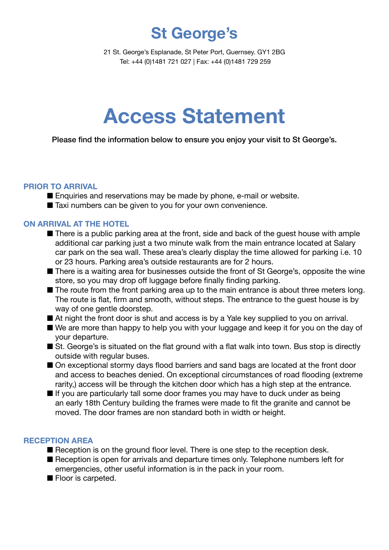**St George's**

21 St. George's Esplanade, St Peter Port, Guernsey. GY1 2BG Tel: +44 (0)1481 721 027 | Fax: +44 (0)1481 729 259

# **Access Statement**

Please find the information below to ensure you enjoy your visit to St George's.

#### **PRIOR TO ARRIVAL**

■ Enquiries and reservations may be made by phone, e-mail or website.

■ Taxi numbers can be given to you for your own convenience.

# **ON ARRIVAL AT THE HOTEL**

- $\blacksquare$  There is a public parking area at the front, side and back of the quest house with ample additional car parking just a two minute walk from the main entrance located at Salary car park on the sea wall. These area's clearly display the time allowed for parking i.e. 10 or 23 hours. Parking area's outside restaurants are for 2 hours.
- There is a waiting area for businesses outside the front of St George's, opposite the wine store, so you may drop off luggage before finally finding parking.
- $\blacksquare$  The route from the front parking area up to the main entrance is about three meters long. The route is flat, firm and smooth, without steps. The entrance to the guest house is by way of one gentle doorstep.
- At night the front door is shut and access is by a Yale key supplied to you on arrival.
- $\blacksquare$  We are more than happy to help you with your luggage and keep it for you on the day of your departure.
- St. George's is situated on the flat ground with a flat walk into town. Bus stop is directly outside with regular buses.
- On exceptional stormy days flood barriers and sand bags are located at the front door and access to beaches denied. On exceptional circumstances of road flooding (extreme rarity,) access will be through the kitchen door which has a high step at the entrance.
- $\blacksquare$  If you are particularly tall some door frames you may have to duck under as being an early 18th Century building the frames were made to fit the granite and cannot be moved. The door frames are non standard both in width or height.

### **RECEPTION AREA**

- $\blacksquare$  Reception is on the ground floor level. There is one step to the reception desk.
- Reception is open for arrivals and departure times only. Telephone numbers left for emergencies, other useful information is in the pack in your room.
- **n** Floor is carpeted.